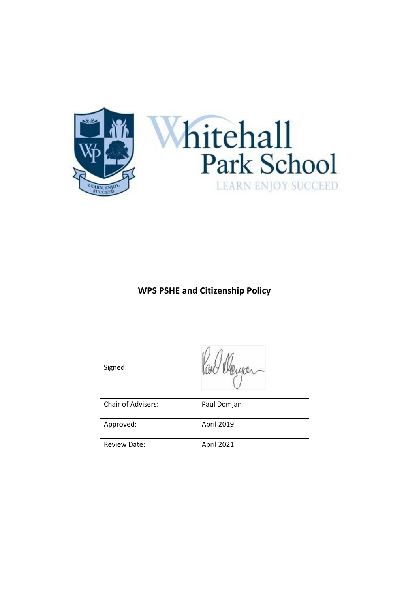

**WPS PSHE and Citizenship Policy** 

| Signed:             |             |
|---------------------|-------------|
| Chair of Advisers:  | Paul Domjan |
| Approved:           | April 2019  |
| <b>Review Date:</b> | April 2021  |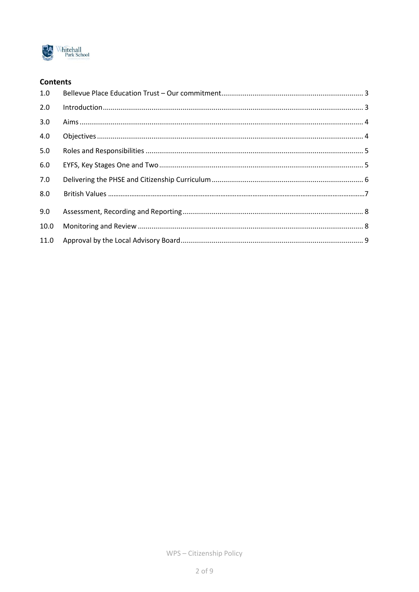

## **Contents**

| 1.0  |  |
|------|--|
| 2.0  |  |
| 3.0  |  |
| 4.0  |  |
| 5.0  |  |
| 6.0  |  |
| 7.0  |  |
| 8.0  |  |
| 9.0  |  |
| 10.0 |  |
|      |  |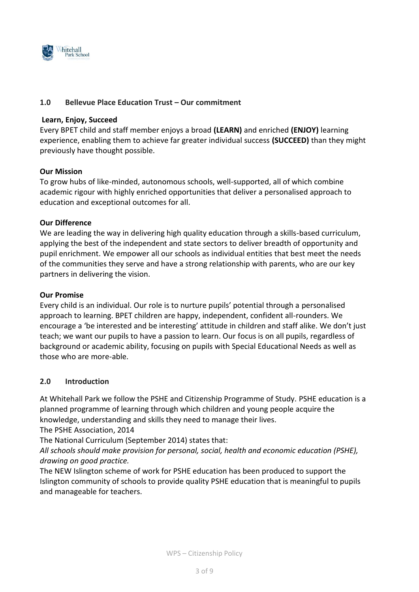

### <span id="page-2-0"></span>**1.0 Bellevue Place Education Trust – Our commitment**

#### **Learn, Enjoy, Succeed**

Every BPET child and staff member enjoys a broad **(LEARN)** and enriched **(ENJOY)** learning experience, enabling them to achieve far greater individual success **(SUCCEED)** than they might previously have thought possible.

### **Our Mission**

To grow hubs of like-minded, autonomous schools, well-supported, all of which combine academic rigour with highly enriched opportunities that deliver a personalised approach to education and exceptional outcomes for all.

#### **Our Difference**

We are leading the way in delivering high quality education through a skills-based curriculum, applying the best of the independent and state sectors to deliver breadth of opportunity and pupil enrichment. We empower all our schools as individual entities that best meet the needs of the communities they serve and have a strong relationship with parents, who are our key partners in delivering the vision.

#### **Our Promise**

Every child is an individual. Our role is to nurture pupils' potential through a personalised approach to learning. BPET children are happy, independent, confident all-rounders. We encourage a 'be interested and be interesting' attitude in children and staff alike. We don't just teach; we want our pupils to have a passion to learn. Our focus is on all pupils, regardless of background or academic ability, focusing on pupils with Special Educational Needs as well as those who are more-able.

### <span id="page-2-1"></span>**2.0 Introduction**

At Whitehall Park we follow the PSHE and Citizenship Programme of Study. PSHE education is a planned programme of learning through which children and young people acquire the knowledge, understanding and skills they need to manage their lives.

The PSHE Association, 2014

The National Curriculum (September 2014) states that:

*All schools should make provision for personal, social, health and economic education (PSHE), drawing on good practice.* 

The NEW Islington scheme of work for PSHE education has been produced to support the Islington community of schools to provide quality PSHE education that is meaningful to pupils and manageable for teachers.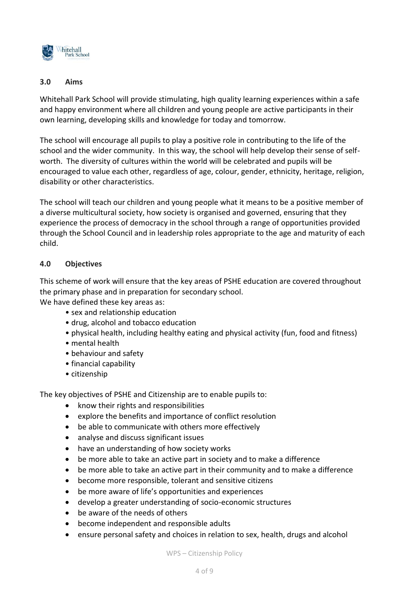

## <span id="page-3-0"></span>**3.0 Aims**

Whitehall Park School will provide stimulating, high quality learning experiences within a safe and happy environment where all children and young people are active participants in their own learning, developing skills and knowledge for today and tomorrow.

The school will encourage all pupils to play a positive role in contributing to the life of the school and the wider community. In this way, the school will help develop their sense of selfworth. The diversity of cultures within the world will be celebrated and pupils will be encouraged to value each other, regardless of age, colour, gender, ethnicity, heritage, religion, disability or other characteristics.

The school will teach our children and young people what it means to be a positive member of a diverse multicultural society, how society is organised and governed, ensuring that they experience the process of democracy in the school through a range of opportunities provided through the School Council and in leadership roles appropriate to the age and maturity of each child.

## <span id="page-3-1"></span>**4.0 Objectives**

This scheme of work will ensure that the key areas of PSHE education are covered throughout the primary phase and in preparation for secondary school.

We have defined these key areas as:

- sex and relationship education
- drug, alcohol and tobacco education
- physical health, including healthy eating and physical activity (fun, food and fitness)
- mental health
- behaviour and safety
- financial capability
- citizenship

The key objectives of PSHE and Citizenship are to enable pupils to:

- know their rights and responsibilities
- explore the benefits and importance of conflict resolution
- be able to communicate with others more effectively
- analyse and discuss significant issues
- have an understanding of how society works
- be more able to take an active part in society and to make a difference
- be more able to take an active part in their community and to make a difference
- become more responsible, tolerant and sensitive citizens
- be more aware of life's opportunities and experiences
- develop a greater understanding of socio-economic structures
- be aware of the needs of others
- become independent and responsible adults
- ensure personal safety and choices in relation to sex, health, drugs and alcohol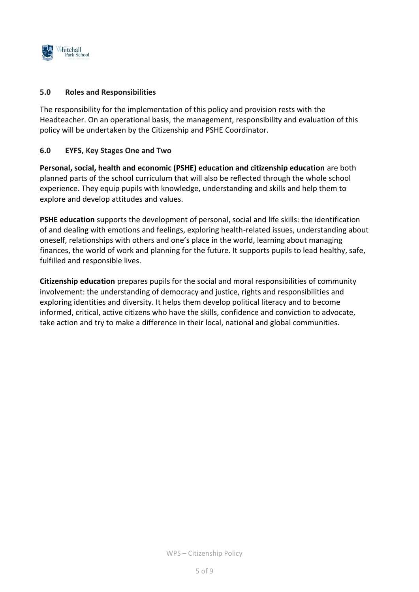

### <span id="page-4-0"></span>**5.0 Roles and Responsibilities**

The responsibility for the implementation of this policy and provision rests with the Headteacher. On an operational basis, the management, responsibility and evaluation of this policy will be undertaken by the Citizenship and PSHE Coordinator.

## <span id="page-4-1"></span>**6.0 EYFS, Key Stages One and Two**

**Personal, social, health and economic (PSHE) education and citizenship education** are both planned parts of the school curriculum that will also be reflected through the whole school experience. They equip pupils with knowledge, understanding and skills and help them to explore and develop attitudes and values.

**PSHE education** supports the development of personal, social and life skills: the identification of and dealing with emotions and feelings, exploring health-related issues, understanding about oneself, relationships with others and one's place in the world, learning about managing finances, the world of work and planning for the future. It supports pupils to lead healthy, safe, fulfilled and responsible lives.

**Citizenship education** prepares pupils for the social and moral responsibilities of community involvement: the understanding of democracy and justice, rights and responsibilities and exploring identities and diversity. It helps them develop political literacy and to become informed, critical, active citizens who have the skills, confidence and conviction to advocate, take action and try to make a difference in their local, national and global communities.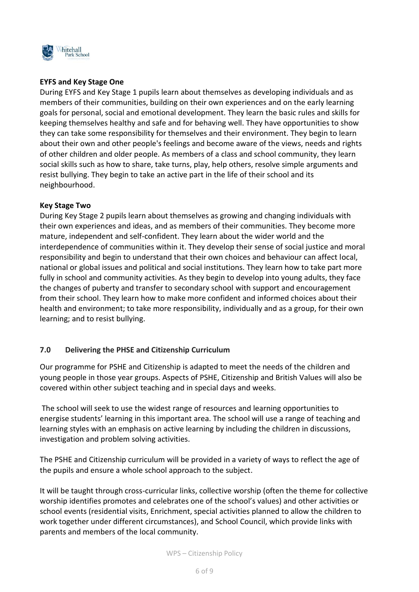

## **EYFS and Key Stage One**

During EYFS and Key Stage 1 pupils learn about themselves as developing individuals and as members of their communities, building on their own experiences and on the early learning goals for personal, social and emotional development. They learn the basic rules and skills for keeping themselves healthy and safe and for behaving well. They have opportunities to show they can take some responsibility for themselves and their environment. They begin to learn about their own and other people's feelings and become aware of the views, needs and rights of other children and older people. As members of a class and school community, they learn social skills such as how to share, take turns, play, help others, resolve simple arguments and resist bullying. They begin to take an active part in the life of their school and its neighbourhood.

## **Key Stage Two**

During Key Stage 2 pupils learn about themselves as growing and changing individuals with their own experiences and ideas, and as members of their communities. They become more mature, independent and self-confident. They learn about the wider world and the interdependence of communities within it. They develop their sense of social justice and moral responsibility and begin to understand that their own choices and behaviour can affect local, national or global issues and political and social institutions. They learn how to take part more fully in school and community activities. As they begin to develop into young adults, they face the changes of puberty and transfer to secondary school with support and encouragement from their school. They learn how to make more confident and informed choices about their health and environment; to take more responsibility, individually and as a group, for their own learning; and to resist bullying.

## <span id="page-5-0"></span>**7.0 Delivering the PHSE and Citizenship Curriculum**

Our programme for PSHE and Citizenship is adapted to meet the needs of the children and young people in those year groups. Aspects of PSHE, Citizenship and British Values will also be covered within other subject teaching and in special days and weeks.

The school will seek to use the widest range of resources and learning opportunities to energise students' learning in this important area. The school will use a range of teaching and learning styles with an emphasis on active learning by including the children in discussions, investigation and problem solving activities.

The PSHE and Citizenship curriculum will be provided in a variety of ways to reflect the age of the pupils and ensure a whole school approach to the subject.

It will be taught through cross-curricular links, collective worship (often the theme for collective worship identifies promotes and celebrates one of the school's values) and other activities or school events (residential visits, Enrichment, special activities planned to allow the children to work together under different circumstances), and School Council, which provide links with parents and members of the local community.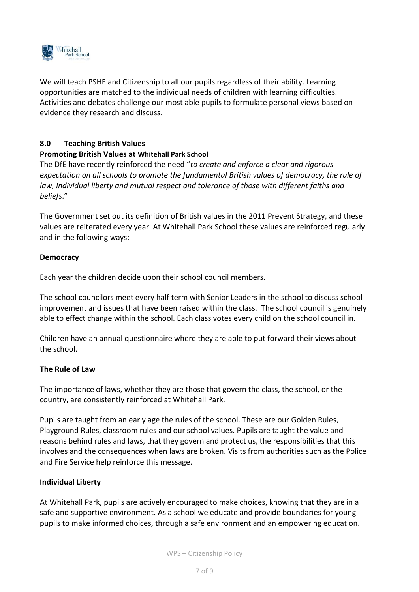

We will teach PSHE and Citizenship to all our pupils regardless of their ability. Learning opportunities are matched to the individual needs of children with learning difficulties. Activities and debates challenge our most able pupils to formulate personal views based on evidence they research and discuss.

## **8.0 Teaching British Values**

### **Promoting British Values at Whitehall Park School**

The DfE have recently reinforced the need "*to create and enforce a clear and rigorous expectation on all schools to promote the fundamental British values of democracy, the rule of law, individual liberty and mutual respect and tolerance of those with different faiths and beliefs*."

The Government set out its definition of British values in the 2011 Prevent Strategy, and these values are reiterated every year. At Whitehall Park School these values are reinforced regularly and in the following ways:

### **Democracy**

Each year the children decide upon their school council members.

The school councilors meet every half term with Senior Leaders in the school to discuss school improvement and issues that have been raised within the class. The school council is genuinely able to effect change within the school. Each class votes every child on the school council in.

Children have an annual questionnaire where they are able to put forward their views about the school.

### **The Rule of Law**

The importance of laws, whether they are those that govern the class, the school, or the country, are consistently reinforced at Whitehall Park.

Pupils are taught from an early age the rules of the school. These are our Golden Rules, Playground Rules, classroom rules and our school values. Pupils are taught the value and reasons behind rules and laws, that they govern and protect us, the responsibilities that this involves and the consequences when laws are broken. Visits from authorities such as the Police and Fire Service help reinforce this message.

### **Individual Liberty**

At Whitehall Park, pupils are actively encouraged to make choices, knowing that they are in a safe and supportive environment. As a school we educate and provide boundaries for young pupils to make informed choices, through a safe environment and an empowering education.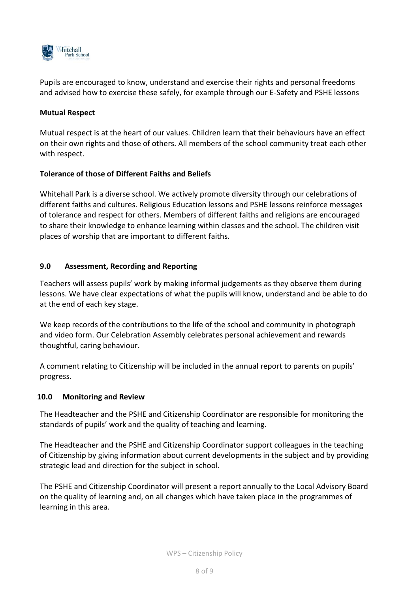

Pupils are encouraged to know, understand and exercise their rights and personal freedoms and advised how to exercise these safely, for example through our E-Safety and PSHE lessons

## **Mutual Respect**

Mutual respect is at the heart of our values. Children learn that their behaviours have an effect on their own rights and those of others. All members of the school community treat each other with respect.

## **Tolerance of those of Different Faiths and Beliefs**

Whitehall Park is a diverse school. We actively promote diversity through our celebrations of different faiths and cultures. Religious Education lessons and PSHE lessons reinforce messages of tolerance and respect for others. Members of different faiths and religions are encouraged to share their knowledge to enhance learning within classes and the school. The children visit places of worship that are important to different faiths.

## <span id="page-7-0"></span>**9.0 Assessment, Recording and Reporting**

Teachers will assess pupils' work by making informal judgements as they observe them during lessons. We have clear expectations of what the pupils will know, understand and be able to do at the end of each key stage.

We keep records of the contributions to the life of the school and community in photograph and video form. Our Celebration Assembly celebrates personal achievement and rewards thoughtful, caring behaviour.

A comment relating to Citizenship will be included in the annual report to parents on pupils' progress.

### <span id="page-7-1"></span>**10.0 Monitoring and Review**

The Headteacher and the PSHE and Citizenship Coordinator are responsible for monitoring the standards of pupils' work and the quality of teaching and learning.

The Headteacher and the PSHE and Citizenship Coordinator support colleagues in the teaching of Citizenship by giving information about current developments in the subject and by providing strategic lead and direction for the subject in school.

The PSHE and Citizenship Coordinator will present a report annually to the Local Advisory Board on the quality of learning and, on all changes which have taken place in the programmes of learning in this area.